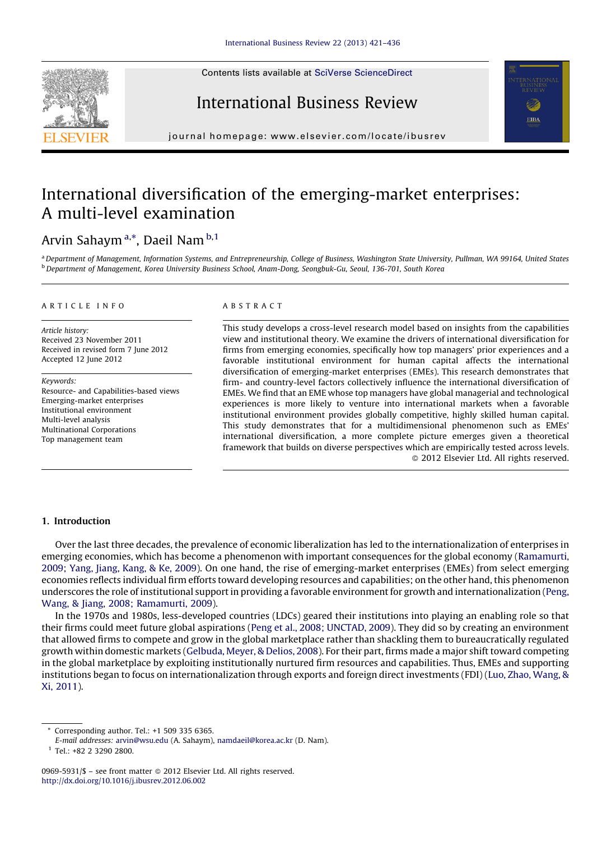Contents lists available at SciVerse [ScienceDirect](http://www.sciencedirect.com/science/journal/09695931)







journal homepage: www.elsevier.com/locate/ibusrev

## International diversification of the emerging-market enterprises: A multi-level examination

### Arvin Sahaym<sup>a,</sup>\*, Daeil Nam<sup>b,1</sup>

a Department of Management, Information Systems, and Entrepreneurship, College of Business, Washington State University, Pullman, WA 99164, United States b Department of Management, Korea University Business School, Anam-Dong, Seongbuk-Gu, Seoul, 136-701, South Korea

#### A R T I C L E I N F O

Article history: Received 23 November 2011 Received in revised form 7 June 2012 Accepted 12 June 2012

Keywords: Resource- and Capabilities-based views Emerging-market enterprises Institutional environment Multi-level analysis Multinational Corporations Top management team

#### A B S T R A C T

This study develops a cross-level research model based on insights from the capabilities view and institutional theory. We examine the drivers of international diversification for firms from emerging economies, specifically how top managers' prior experiences and a favorable institutional environment for human capital affects the international diversification of emerging-market enterprises (EMEs). This research demonstrates that firm- and country-level factors collectively influence the international diversification of EMEs. We find that an EME whose top managers have global managerial and technological experiences is more likely to venture into international markets when a favorable institutional environment provides globally competitive, highly skilled human capital. This study demonstrates that for a multidimensional phenomenon such as EMEs' international diversification, a more complete picture emerges given a theoretical framework that builds on diverse perspectives which are empirically tested across levels. - 2012 Elsevier Ltd. All rights reserved.

#### 1. Introduction

Over the last three decades, the prevalence of economic liberalization has led to the internationalization of enterprises in emerging economies, which has become a phenomenon with important consequences for the global economy [\(Ramamurti,](#page--1-0) [2009;](#page--1-0) Yang, Jiang, Kang, & Ke, 2009). On one hand, the rise of emerging-market enterprises (EMEs) from select emerging economies reflects individual firm efforts toward developing resources and capabilities; on the other hand, this phenomenon underscores the role of institutional support in providing a favorable environment for growth and internationalization ([Peng,](#page--1-0) Wang, & Jiang, 2008; [Ramamurti,](#page--1-0) 2009).

In the 1970s and 1980s, less-developed countries (LDCs) geared their institutions into playing an enabling role so that their firms could meet future global aspirations (Peng et al., 2008; [UNCTAD,](#page--1-0) 2009). They did so by creating an environment that allowed firms to compete and grow in the global marketplace rather than shackling them to bureaucratically regulated growth within domestic markets ([Gelbuda,](#page--1-0) Meyer, & Delios, 2008). For their part, firms made a major shift toward competing in the global marketplace by exploiting institutionally nurtured firm resources and capabilities. Thus, EMEs and supporting institutions began to focus on internationalization through exports and foreign direct investments (FDI) (Luo, Zhao, [Wang,](#page--1-0) & Xi, [2011\)](#page--1-0).

<sup>\*</sup> Corresponding author. Tel.: +1 509 335 6365.

E-mail addresses: [arvin@wsu.edu](mailto:arvin@wsu.edu) (A. Sahaym), [namdaeil@korea.ac.kr](mailto:namdaeil@korea.ac.kr) (D. Nam).

<sup>1</sup> Tel.: +82 2 3290 2800.

<sup>0969-5931/\$ –</sup> see front matter © 2012 Elsevier Ltd. All rights reserved. <http://dx.doi.org/10.1016/j.ibusrev.2012.06.002>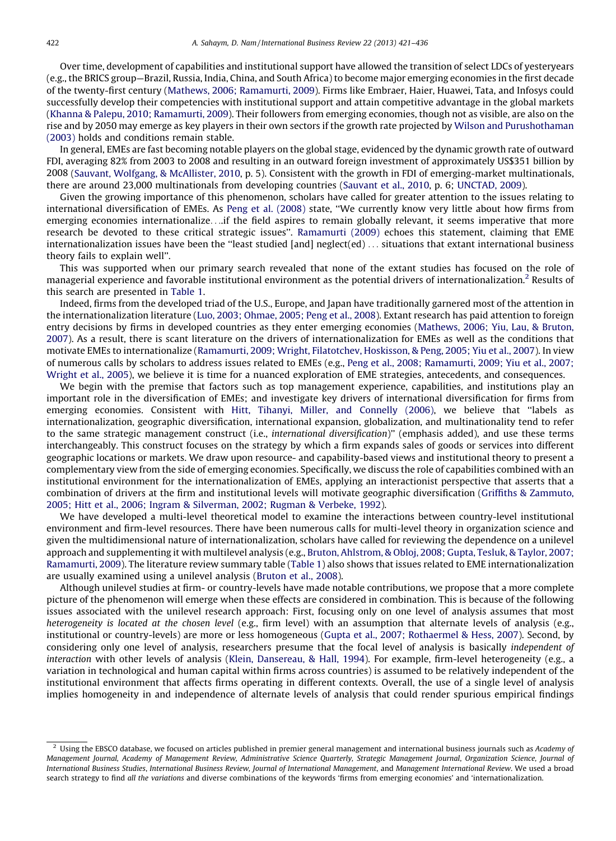Over time, development of capabilities and institutional support have allowed the transition of select LDCs of yesteryears (e.g., the BRICS group—Brazil, Russia, India, China, and South Africa) to become major emerging economies in the first decade of the twenty-first century (Mathews, 2006; [Ramamurti,](#page--1-0) 2009). Firms like Embraer, Haier, Huawei, Tata, and Infosys could successfully develop their competencies with institutional support and attain competitive advantage in the global markets (Khanna & Palepu, 2010; [Ramamurti,](#page--1-0) 2009). Their followers from emerging economies, though not as visible, are also on the rise and by 2050 may emerge as key players in their own sectors if the growth rate projected by Wilson and [Purushothaman](#page--1-0) [\(2003\)](#page--1-0) holds and conditions remain stable.

In general, EMEs are fast becoming notable players on the global stage, evidenced by the dynamic growth rate of outward FDI, averaging 82% from 2003 to 2008 and resulting in an outward foreign investment of approximately US\$351 billion by 2008 (Sauvant, Wolfgang, & [McAllister,](#page--1-0) 2010, p. 5). Consistent with the growth in FDI of emerging-market multinationals, there are around 23,000 multinationals from developing countries [\(Sauvant](#page--1-0) et al., 2010, p. 6; [UNCTAD,](#page--1-0) 2009).

Given the growing importance of this phenomenon, scholars have called for greater attention to the issues relating to international diversification of EMEs. As Peng et al. [\(2008\)](#page--1-0) state, ''We currently know very little about how firms from emerging economies internationalize. . ..if the field aspires to remain globally relevant, it seems imperative that more research be devoted to these critical strategic issues''. [Ramamurti](#page--1-0) (2009) echoes this statement, claiming that EME internationalization issues have been the ''least studied [and] neglect(ed) . . . situations that extant international business theory fails to explain well''.

This was supported when our primary search revealed that none of the extant studies has focused on the role of managerial experience and favorable institutional environment as the potential drivers of internationalization.<sup>2</sup> Results of this search are presented in [Table](#page--1-0) 1.

Indeed, firms from the developed triad of the U.S., Europe, and Japan have traditionally garnered most of the attention in the internationalization literature (Luo, 2003; [Ohmae,](#page--1-0) 2005; Peng et al., 2008). Extant research has paid attention to foreign entry decisions by firms in developed countries as they enter emerging economies ([Mathews,](#page--1-0) 2006; Yiu, Lau, & Bruton, [2007](#page--1-0)). As a result, there is scant literature on the drivers of internationalization for EMEs as well as the conditions that motivate EMEs to internationalize ([Ramamurti,](#page--1-0) 2009; Wright, Filatotchev, Hoskisson, & Peng, 2005; Yiu et al., 2007). In view of numerous calls by scholars to address issues related to EMEs (e.g., Peng et al., 2008; [Ramamurti,](#page--1-0) 2009; Yiu et al., 2007; [Wright](#page--1-0) et al., 2005), we believe it is time for a nuanced exploration of EME strategies, antecedents, and consequences.

We begin with the premise that factors such as top management experience, capabilities, and institutions play an important role in the diversification of EMEs; and investigate key drivers of international diversification for firms from emerging economies. Consistent with Hitt, Tihanyi, Miller, and [Connelly](#page--1-0) (2006), we believe that ''labels as internationalization, geographic diversification, international expansion, globalization, and multinationality tend to refer to the same strategic management construct (i.e., international diversification)'' (emphasis added), and use these terms interchangeably. This construct focuses on the strategy by which a firm expands sales of goods or services into different geographic locations or markets. We draw upon resource- and capability-based views and institutional theory to present a complementary view from the side of emerging economies. Specifically, we discuss the role of capabilities combined with an institutional environment for the internationalization of EMEs, applying an interactionist perspective that asserts that a combination of drivers at the firm and institutional levels will motivate geographic diversification (Griffiths & [Zammuto,](#page--1-0) 2005; Hitt et al., 2006; Ingram & [Silverman,](#page--1-0) 2002; Rugman & Verbeke, 1992).

We have developed a multi-level theoretical model to examine the interactions between country-level institutional environment and firm-level resources. There have been numerous calls for multi-level theory in organization science and given the multidimensional nature of internationalization, scholars have called for reviewing the dependence on a unilevel approach and supplementing it with multilevel analysis (e.g., Bruton, [Ahlstrom,](#page--1-0) & Obloj, 2008; Gupta, Tesluk, & Taylor, 2007; [Ramamurti,](#page--1-0) 2009). The literature review summary table [\(Table](#page--1-0) 1) also shows that issues related to EME internationalization are usually examined using a unilevel analysis ([Bruton](#page--1-0) et al., 2008).

Although unilevel studies at firm- or country-levels have made notable contributions, we propose that a more complete picture of the phenomenon will emerge when these effects are considered in combination. This is because of the following issues associated with the unilevel research approach: First, focusing only on one level of analysis assumes that most heterogeneity is located at the chosen level (e.g., firm level) with an assumption that alternate levels of analysis (e.g., institutional or country-levels) are more or less homogeneous (Gupta et al., 2007; [Rothaermel](#page--1-0) & Hess, 2007). Second, by considering only one level of analysis, researchers presume that the focal level of analysis is basically independent of interaction with other levels of analysis (Klein, [Dansereau,](#page--1-0) & Hall, 1994). For example, firm-level heterogeneity (e.g., a variation in technological and human capital within firms across countries) is assumed to be relatively independent of the institutional environment that affects firms operating in different contexts. Overall, the use of a single level of analysis implies homogeneity in and independence of alternate levels of analysis that could render spurious empirical findings

 $<sup>2</sup>$  Using the EBSCO database, we focused on articles published in premier general management and international business journals such as Academy of</sup> Management Journal, Academy of Management Review, Administrative Science Quarterly, Strategic Management Journal, Organization Science, Journal of International Business Studies, International Business Review, Journal of International Management, and Management International Review. We used a broad search strategy to find all the variations and diverse combinations of the keywords 'firms from emerging economies' and 'internationalization.